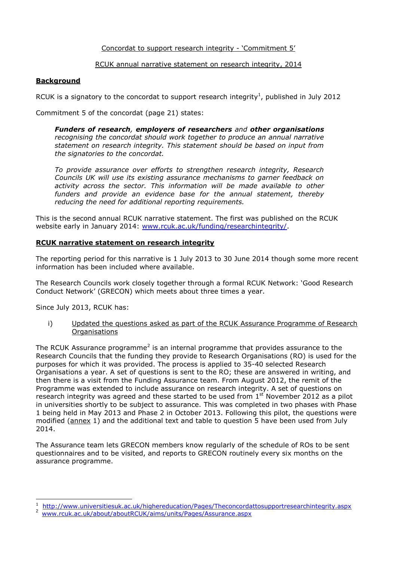#### Concordat to support research integrity - 'Commitment 5'

#### RCUK annual narrative statement on research integrity, 2014

# **Background**

RCUK is a signatory to the concordat to support research integrity<sup>1</sup>, published in July 2012

Commitment 5 of the concordat (page 21) states:

*Funders of research, employers of researchers and other organisations recognising the concordat should work together to produce an annual narrative statement on research integrity. This statement should be based on input from the signatories to the concordat.*

*To provide assurance over efforts to strengthen research integrity, Research Councils UK will use its existing assurance mechanisms to garner feedback on activity across the sector. This information will be made available to other funders and provide an evidence base for the annual statement, thereby reducing the need for additional reporting requirements.*

This is the second annual RCUK narrative statement. The first was published on the RCUK website early in January 2014: [www.rcuk.ac.uk/funding/researchintegrity/.](http://www.rcuk.ac.uk/funding/researchintegrity/)

#### **RCUK narrative statement on research integrity**

The reporting period for this narrative is 1 July 2013 to 30 June 2014 though some more recent information has been included where available.

The Research Councils work closely together through a formal RCUK Network: 'Good Research Conduct Network' (GRECON) which meets about three times a year.

Since July 2013, RCUK has:

 $\overline{a}$ 

i) Updated the questions asked as part of the RCUK Assurance Programme of Research Organisations

The RCUK Assurance programme<sup>2</sup> is an internal programme that provides assurance to the Research Councils that the funding they provide to Research Organisations (RO) is used for the purposes for which it was provided. The process is applied to 35-40 selected Research Organisations a year. A set of questions is sent to the RO; these are answered in writing, and then there is a visit from the Funding Assurance team. From August 2012, the remit of the Programme was extended to include assurance on research integrity. A set of questions on research integrity was agreed and these started to be used from  $1<sup>st</sup>$  November 2012 as a pilot in universities shortly to be subject to assurance. This was completed in two phases with Phase 1 being held in May 2013 and Phase 2 in October 2013. Following this pilot, the questions were modified (annex 1) and the additional text and table to question 5 have been used from July 2014.

The Assurance team lets GRECON members know regularly of the schedule of ROs to be sent questionnaires and to be visited, and reports to GRECON routinely every six months on the assurance programme.

<sup>&</sup>lt;sup>1</sup> <http://www.universitiesuk.ac.uk/highereducation/Pages/Theconcordattosupportresearchintegrity.aspx><br>2 www.grill.po.uk/pho.ut/pho.utDCU//pime/unite/Dages/Assumpse.aspx

[www.rcuk.ac.uk/about/aboutRCUK/aims/units/Pages/Assurance.aspx](http://www.rcuk.ac.uk/about/aboutRCUK/aims/units/Pages/Assurance.aspx)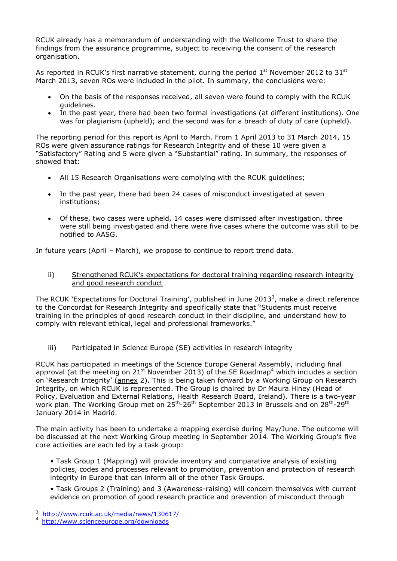RCUK already has a memorandum of understanding with the Wellcome Trust to share the findings from the assurance programme, subject to receiving the consent of the research organisation.

As reported in RCUK's first narrative statement, during the period  $1<sup>st</sup>$  November 2012 to 31 $<sup>st</sup>$ </sup> March 2013, seven ROs were included in the pilot. In summary, the conclusions were:

- On the basis of the responses received, all seven were found to comply with the RCUK guidelines.
- In the past year, there had been two formal investigations (at different institutions). One was for plagiarism (upheld); and the second was for a breach of duty of care (upheld).

The reporting period for this report is April to March. From 1 April 2013 to 31 March 2014, 15 ROs were given assurance ratings for Research Integrity and of these 10 were given a "Satisfactory" Rating and 5 were given a "Substantial" rating. In summary, the responses of showed that:

- All 15 Research Organisations were complying with the RCUK guidelines;
- In the past year, there had been 24 cases of misconduct investigated at seven institutions;
- Of these, two cases were upheld, 14 cases were dismissed after investigation, three were still being investigated and there were five cases where the outcome was still to be notified to AASG.

In future years (April – March), we propose to continue to report trend data.

ii) Strengthened RCUK's expectations for doctoral training regarding research integrity and good research conduct

The RCUK `Expectations for Doctoral Training', published in June 2013<sup>3</sup>, make a direct reference to the Concordat for Research Integrity and specifically state that "Students must receive training in the principles of good research conduct in their discipline, and understand how to comply with relevant ethical, legal and professional frameworks."

# iii) Participated in Science Europe (SE) activities in research integrity

RCUK has participated in meetings of the Science Europe General Assembly, including final approval (at the meeting on  $21^{st}$  November 2013) of the SE Roadmap<sup>4</sup> which includes a section on 'Research Integrity' (annex 2). This is being taken forward by a Working Group on Research Integrity, on which RCUK is represented. The Group is chaired by Dr Maura Hiney (Head of Policy, Evaluation and External Relations, Health Research Board, Ireland). There is a two-year work plan. The Working Group met on 25<sup>th</sup>-26<sup>th</sup> September 2013 in Brussels and on 28<sup>th</sup>-29<sup>th</sup> January 2014 in Madrid.

The main activity has been to undertake a mapping exercise during May/June. The outcome will be discussed at the next Working Group meeting in September 2014. The Working Group's five core activities are each led by a task group:

• Task Group 1 (Mapping) will provide inventory and comparative analysis of existing policies, codes and processes relevant to promotion, prevention and protection of research integrity in Europe that can inform all of the other Task Groups.

• Task Groups 2 (Training) and 3 (Awareness-raising) will concern themselves with current evidence on promotion of good research practice and prevention of misconduct through

<sup>3</sup> <http://www.rcuk.ac.uk/media/news/130617/>

<sup>4</sup> <http://www.scienceeurope.org/downloads>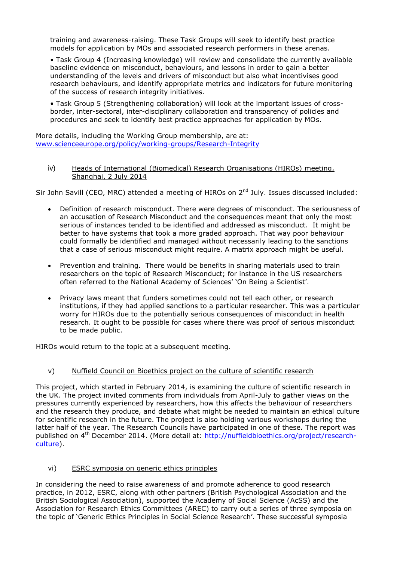training and awareness-raising. These Task Groups will seek to identify best practice models for application by MOs and associated research performers in these arenas.

• Task Group 4 (Increasing knowledge) will review and consolidate the currently available baseline evidence on misconduct, behaviours, and lessons in order to gain a better understanding of the levels and drivers of misconduct but also what incentivises good research behaviours, and identify appropriate metrics and indicators for future monitoring of the success of research integrity initiatives.

• Task Group 5 (Strengthening collaboration) will look at the important issues of crossborder, inter-sectoral, inter-disciplinary collaboration and transparency of policies and procedures and seek to identify best practice approaches for application by MOs.

More details, including the Working Group membership, are at: [www.scienceeurope.org/policy/working-groups/Research-Integrity](http://www.scienceeurope.org/policy/working-groups/Research-Integrity)

#### iv) Heads of International (Biomedical) Research Organisations (HIROs) meeting, Shanghai, 2 July 2014

Sir John Savill (CEO, MRC) attended a meeting of HIROs on 2<sup>nd</sup> July. Issues discussed included:

- Definition of research misconduct. There were degrees of misconduct. The seriousness of an accusation of Research Misconduct and the consequences meant that only the most serious of instances tended to be identified and addressed as misconduct. It might be better to have systems that took a more graded approach. That way poor behaviour could formally be identified and managed without necessarily leading to the sanctions that a case of serious misconduct might require. A matrix approach might be useful.
- Prevention and training. There would be benefits in sharing materials used to train researchers on the topic of Research Misconduct; for instance in the US researchers often referred to the National Academy of Sciences' 'On Being a Scientist'.
- Privacy laws meant that funders sometimes could not tell each other, or research institutions, if they had applied sanctions to a particular researcher. This was a particular worry for HIROs due to the potentially serious consequences of misconduct in health research. It ought to be possible for cases where there was proof of serious misconduct to be made public.

HIROs would return to the topic at a subsequent meeting.

# v) Nuffield Council on Bioethics project on the culture of scientific research

This project, which started in February 2014, is examining the culture of scientific research in the UK. The project invited comments from individuals from April-July to gather views on the pressures currently experienced by researchers, how this affects the behaviour of researchers and the research they produce, and debate what might be needed to maintain an ethical culture for scientific research in the future. The project is also holding various workshops during the latter half of the year. The Research Councils have participated in one of these. The report was published on 4<sup>th</sup> December 2014. (More detail at: [http://nuffieldbioethics.org/project/research](http://nuffieldbioethics.org/project/research-culture)[culture\)](http://nuffieldbioethics.org/project/research-culture).

#### vi) ESRC symposia on generic ethics principles

In considering the need to raise awareness of and promote adherence to good research practice, in 2012, ESRC, along with other partners (British Psychological Association and the British Sociological Association), supported the Academy of Social Science (AcSS) and the Association for Research Ethics Committees (AREC) to carry out a series of three symposia on the topic of 'Generic Ethics Principles in Social Science Research'. These successful symposia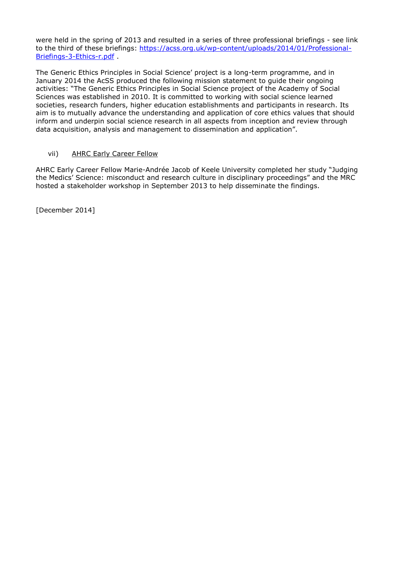were held in the spring of 2013 and resulted in a series of three professional briefings - see link to the third of these briefings: [https://acss.org.uk/wp-content/uploads/2014/01/Professional-](https://acss.org.uk/wp-content/uploads/2014/01/Professional-Briefings-3-Ethics-r.pdf)[Briefings-3-Ethics-r.pdf](https://acss.org.uk/wp-content/uploads/2014/01/Professional-Briefings-3-Ethics-r.pdf) .

The Generic Ethics Principles in Social Science' project is a long-term programme, and in January 2014 the AcSS produced the following mission statement to guide their ongoing activities: "The Generic Ethics Principles in Social Science project of the Academy of Social Sciences was established in 2010. It is committed to working with social science learned societies, research funders, higher education establishments and participants in research. Its aim is to mutually advance the understanding and application of core ethics values that should inform and underpin social science research in all aspects from inception and review through data acquisition, analysis and management to dissemination and application".

#### vii) AHRC Early Career Fellow

AHRC Early Career Fellow Marie-Andrée Jacob of Keele University completed her study "Judging the Medics' Science: misconduct and research culture in disciplinary proceedings" and the MRC hosted a stakeholder workshop in September 2013 to help disseminate the findings.

[December 2014]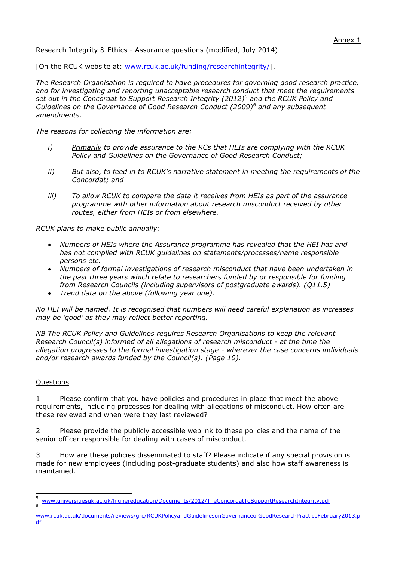# Research Integrity & Ethics - Assurance questions (modified, July 2014)

[On the RCUK website at: [www.rcuk.ac.uk/funding/researchintegrity/\]](http://www.rcuk.ac.uk/funding/researchintegrity/).

*The Research Organisation is required to have procedures for governing good research practice, and for investigating and reporting unacceptable research conduct that meet the requirements set out in the Concordat to Support Research Integrity (2012)<sup>5</sup> and the RCUK Policy and Guidelines on the Governance of Good Research Conduct (2009)<sup>6</sup> and any subsequent amendments.*

*The reasons for collecting the information are:*

- *i) Primarily to provide assurance to the RCs that HEIs are complying with the RCUK Policy and Guidelines on the Governance of Good Research Conduct;*
- *ii) But also, to feed in to RCUK's narrative statement in meeting the requirements of the Concordat; and*
- *iii) To allow RCUK to compare the data it receives from HEIs as part of the assurance programme with other information about research misconduct received by other routes, either from HEIs or from elsewhere.*

*RCUK plans to make public annually:*

- *Numbers of HEIs where the Assurance programme has revealed that the HEI has and has not complied with RCUK guidelines on statements/processes/name responsible persons etc.*
- *Numbers of formal investigations of research misconduct that have been undertaken in the past three years which relate to researchers funded by or responsible for funding from Research Councils (including supervisors of postgraduate awards). (Q11.5)*
- *Trend data on the above (following year one).*

*No HEI will be named. It is recognised that numbers will need careful explanation as increases may be 'good' as they may reflect better reporting.*

*NB The RCUK Policy and Guidelines requires Research Organisations to keep the relevant Research Council(s) informed of all allegations of research misconduct - at the time the allegation progresses to the formal investigation stage - wherever the case concerns individuals and/or research awards funded by the Council(s). (Page 10).*

# **Questions**

1 Please confirm that you have policies and procedures in place that meet the above requirements, including processes for dealing with allegations of misconduct. How often are these reviewed and when were they last reviewed?

2 Please provide the publicly accessible weblink to these policies and the name of the senior officer responsible for dealing with cases of misconduct.

3 How are these policies disseminated to staff? Please indicate if any special provision is made for new employees (including post-graduate students) and also how staff awareness is maintained.

 5 [www.universitiesuk.ac.uk/highereducation/Documents/2012/TheConcordatToSupportResearchIntegrity.pdf](http://www.universitiesuk.ac.uk/highereducation/Documents/2012/TheConcordatToSupportResearchIntegrity.pdf) 6

[www.rcuk.ac.uk/documents/reviews/grc/RCUKPolicyandGuidelinesonGovernanceofGoodResearchPracticeFebruary2013.p](http://www.rcuk.ac.uk/documents/reviews/grc/RCUKPolicyandGuidelinesonGovernanceofGoodResearchPracticeFebruary2013.pdf) [df](http://www.rcuk.ac.uk/documents/reviews/grc/RCUKPolicyandGuidelinesonGovernanceofGoodResearchPracticeFebruary2013.pdf)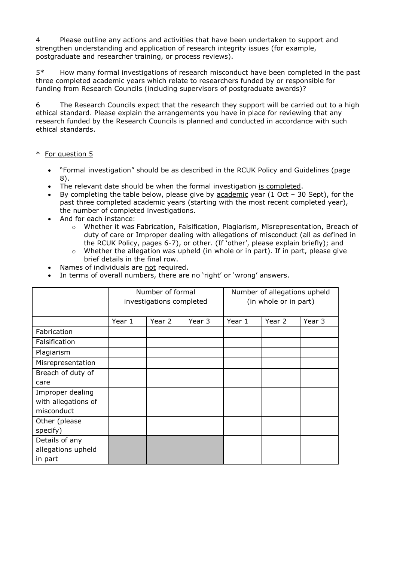4 Please outline any actions and activities that have been undertaken to support and strengthen understanding and application of research integrity issues (for example, postgraduate and researcher training, or process reviews).

5\* How many formal investigations of research misconduct have been completed in the past three completed academic years which relate to researchers funded by or responsible for funding from Research Councils (including supervisors of postgraduate awards)?

6 The Research Councils expect that the research they support will be carried out to a high ethical standard. Please explain the arrangements you have in place for reviewing that any research funded by the Research Councils is planned and conducted in accordance with such ethical standards.

# \* For question 5

- "Formal investigation" should be as described in the RCUK Policy and Guidelines (page 8).
- The relevant date should be when the formal investigation is completed.
- By completing the table below, please give by academic year  $(1 \text{ Oct} 30 \text{ Sept})$ , for the past three completed academic years (starting with the most recent completed year), the number of completed investigations.
- And for each instance:
	- o Whether it was Fabrication, Falsification, Plagiarism, Misrepresentation, Breach of duty of care or Improper dealing with allegations of misconduct (all as defined in the RCUK Policy, pages 6-7), or other. (If 'other', please explain briefly); and
	- $\circ$  Whether the allegation was upheld (in whole or in part). If in part, please give brief details in the final row.
- Names of individuals are not required.
- In terms of overall numbers, there are no 'right' or 'wrong' answers.

|                     | Number of formal<br>investigations completed |        |        | Number of allegations upheld<br>(in whole or in part) |        |        |
|---------------------|----------------------------------------------|--------|--------|-------------------------------------------------------|--------|--------|
|                     | Year 1                                       | Year 2 | Year 3 | Year 1                                                | Year 2 | Year 3 |
| Fabrication         |                                              |        |        |                                                       |        |        |
| Falsification       |                                              |        |        |                                                       |        |        |
| Plagiarism          |                                              |        |        |                                                       |        |        |
| Misrepresentation   |                                              |        |        |                                                       |        |        |
| Breach of duty of   |                                              |        |        |                                                       |        |        |
| care                |                                              |        |        |                                                       |        |        |
| Improper dealing    |                                              |        |        |                                                       |        |        |
| with allegations of |                                              |        |        |                                                       |        |        |
| misconduct          |                                              |        |        |                                                       |        |        |
| Other (please       |                                              |        |        |                                                       |        |        |
| specify)            |                                              |        |        |                                                       |        |        |
| Details of any      |                                              |        |        |                                                       |        |        |
| allegations upheld  |                                              |        |        |                                                       |        |        |
| in part             |                                              |        |        |                                                       |        |        |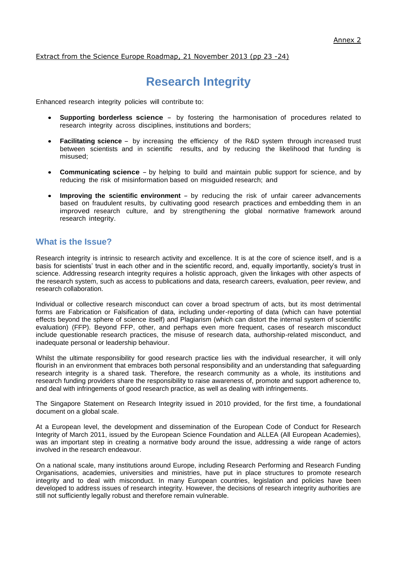Extract from the Science Europe Roadmap, 21 November 2013 (pp 23 -24)

# **Research Integrity**

Enhanced research integrity policies will contribute to:

- **Supporting borderless science** by fostering the harmonisation of procedures related to research integrity across disciplines, institutions and borders;
- **Facilitating science** by increasing the efficiency of the R&D system through increased trust between scientists and in scientific results, and by reducing the likelihood that funding is misused;
- **Communicating science** by helping to build and maintain public support for science, and by reducing the risk of misinformation based on misguided research; and
- **Improving the scientific environment** by reducing the risk of unfair career advancements based on fraudulent results, by cultivating good research practices and embedding them in an improved research culture, and by strengthening the global normative framework around research integrity.

# **What is the Issue?**

Research integrity is intrinsic to research activity and excellence. It is at the core of science itself, and is a basis for scientists' trust in each other and in the scientific record, and, equally importantly, society's trust in science. Addressing research integrity requires a holistic approach, given the linkages with other aspects of the research system, such as access to publications and data, research careers, evaluation, peer review, and research collaboration.

Individual or collective research misconduct can cover a broad spectrum of acts, but its most detrimental forms are Fabrication or Falsification of data, including under-reporting of data (which can have potential effects beyond the sphere of science itself) and Plagiarism (which can distort the internal system of scientific evaluation) (FFP). Beyond FFP, other, and perhaps even more frequent, cases of research misconduct include questionable research practices, the misuse of research data, authorship-related misconduct, and inadequate personal or leadership behaviour.

Whilst the ultimate responsibility for good research practice lies with the individual researcher, it will only flourish in an environment that embraces both personal responsibility and an understanding that safeguarding research integrity is a shared task. Therefore, the research community as a whole, its institutions and research funding providers share the responsibility to raise awareness of, promote and support adherence to, and deal with infringements of good research practice, as well as dealing with infringements.

The Singapore Statement on Research Integrity issued in 2010 provided, for the first time, a foundational document on a global scale.

At a European level, the development and dissemination of the European Code of Conduct for Research Integrity of March 2011, issued by the European Science Foundation and ALLEA (All European Academies), was an important step in creating a normative body around the issue, addressing a wide range of actors involved in the research endeavour.

On a national scale, many institutions around Europe, including Research Performing and Research Funding Organisations, academies, universities and ministries, have put in place structures to promote research integrity and to deal with misconduct. In many European countries, legislation and policies have been developed to address issues of research integrity. However, the decisions of research integrity authorities are still not sufficiently legally robust and therefore remain vulnerable.